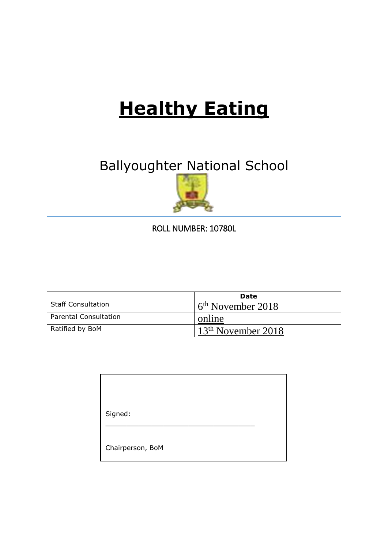# **Healthy Eating**

# Ballyoughter National School



ROLL NUMBER: 10780L

|                              | Date                           |
|------------------------------|--------------------------------|
| <b>Staff Consultation</b>    | $6th$ November 2018            |
| <b>Parental Consultation</b> | online                         |
| Ratified by BoM              | 13 <sup>th</sup> November 2018 |

| Signed:          |  |
|------------------|--|
| Chairperson, BoM |  |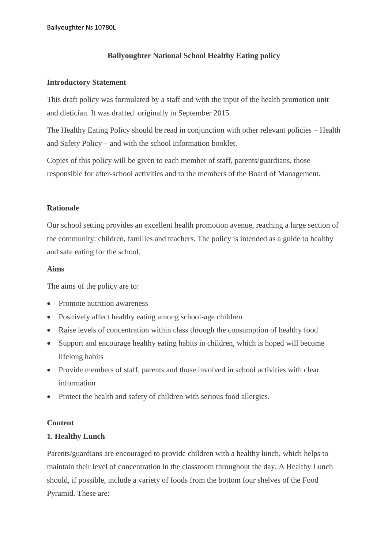# **Ballyoughter National School Healthy Eating policy**

#### **Introductory Statement**

This draft policy was formulated by a staff and with the input of the health promotion unit and dietician. It was drafted originally in September 2015.

The Healthy Eating Policy should be read in conjunction with other relevant policies – Health and Safety Policy – and with the school information booklet.

Copies of this policy will be given to each member of staff, parents/guardians, those responsible for after-school activities and to the members of the Board of Management.

# **Rationale**

Our school setting provides an excellent health promotion avenue, reaching a large section of the community: children, families and teachers. The policy is intended as a guide to healthy and safe eating for the school.

#### **Aims**

The aims of the policy are to:

- Promote nutrition awareness
- Positively affect healthy eating among school-age children
- Raise levels of concentration within class through the consumption of healthy food
- Support and encourage healthy eating habits in children, which is hoped will become lifelong habits
- Provide members of staff, parents and those involved in school activities with clear information
- Protect the health and safety of children with serious food allergies.

#### **Content**

#### **1. Healthy Lunch**

Parents/guardians are encouraged to provide children with a healthy lunch, which helps to maintain their level of concentration in the classroom throughout the day. A Healthy Lunch should, if possible, include a variety of foods from the bottom four shelves of the Food Pyramid. These are: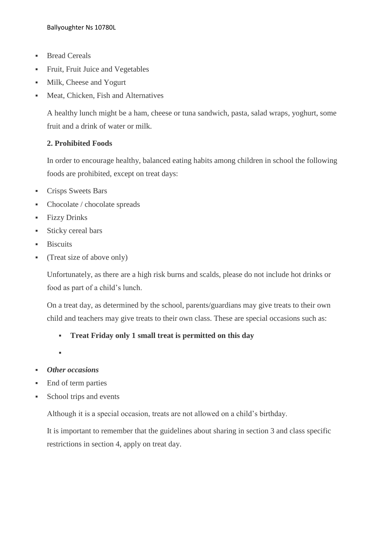- Bread Cereals
- Fruit, Fruit Juice and Vegetables
- Milk, Cheese and Yogurt
- **Meat, Chicken, Fish and Alternatives**

A healthy lunch might be a ham, cheese or tuna sandwich, pasta, salad wraps, yoghurt, some fruit and a drink of water or milk.

# **2. Prohibited Foods**

In order to encourage healthy, balanced eating habits among children in school the following foods are prohibited, except on treat days:

- Crisps Sweets Bars
- Chocolate / chocolate spreads
- **•** Fizzy Drinks
- Sticky cereal bars
- **Biscuits**
- (Treat size of above only)

Unfortunately, as there are a high risk burns and scalds, please do not include hot drinks or food as part of a child's lunch.

On a treat day, as determined by the school, parents/guardians may give treats to their own child and teachers may give treats to their own class. These are special occasions such as:

# ▪ **Treat Friday only 1 small treat is permitted on this day**

▪

- *Other occasions*
- End of term parties
- School trips and events

Although it is a special occasion, treats are not allowed on a child's birthday.

It is important to remember that the guidelines about sharing in section 3 and class specific restrictions in section 4, apply on treat day.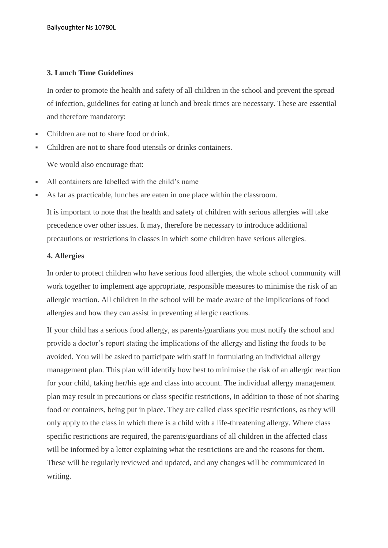# **3. Lunch Time Guidelines**

In order to promote the health and safety of all children in the school and prevent the spread of infection, guidelines for eating at lunch and break times are necessary. These are essential and therefore mandatory:

- Children are not to share food or drink.
- Children are not to share food utensils or drinks containers.

We would also encourage that:

- All containers are labelled with the child's name
- As far as practicable, lunches are eaten in one place within the classroom.

It is important to note that the health and safety of children with serious allergies will take precedence over other issues. It may, therefore be necessary to introduce additional precautions or restrictions in classes in which some children have serious allergies.

#### **4. Allergies**

In order to protect children who have serious food allergies, the whole school community will work together to implement age appropriate, responsible measures to minimise the risk of an allergic reaction. All children in the school will be made aware of the implications of food allergies and how they can assist in preventing allergic reactions.

If your child has a serious food allergy, as parents/guardians you must notify the school and provide a doctor's report stating the implications of the allergy and listing the foods to be avoided. You will be asked to participate with staff in formulating an individual allergy management plan. This plan will identify how best to minimise the risk of an allergic reaction for your child, taking her/his age and class into account. The individual allergy management plan may result in precautions or class specific restrictions, in addition to those of not sharing food or containers, being put in place. They are called class specific restrictions, as they will only apply to the class in which there is a child with a life-threatening allergy. Where class specific restrictions are required, the parents/guardians of all children in the affected class will be informed by a letter explaining what the restrictions are and the reasons for them. These will be regularly reviewed and updated, and any changes will be communicated in writing.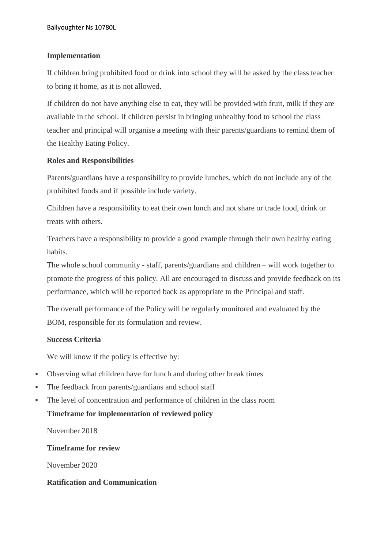# **Implementation**

If children bring prohibited food or drink into school they will be asked by the class teacher to bring it home, as it is not allowed.

If children do not have anything else to eat, they will be provided with fruit, milk if they are available in the school. If children persist in bringing unhealthy food to school the class teacher and principal will organise a meeting with their parents/guardians to remind them of the Healthy Eating Policy.

# **Roles and Responsibilities**

Parents/guardians have a responsibility to provide lunches, which do not include any of the prohibited foods and if possible include variety.

Children have a responsibility to eat their own lunch and not share or trade food, drink or treats with others.

Teachers have a responsibility to provide a good example through their own healthy eating habits.

The whole school community - staff, parents/guardians and children – will work together to promote the progress of this policy. All are encouraged to discuss and provide feedback on its performance, which will be reported back as appropriate to the Principal and staff.

The overall performance of the Policy will be regularly monitored and evaluated by the BOM, responsible for its formulation and review.

#### **Success Criteria**

We will know if the policy is effective by:

- Observing what children have for lunch and during other break times
- The feedback from parents/guardians and school staff
- The level of concentration and performance of children in the class room **Timeframe for implementation of reviewed policy**

November 2018

**Timeframe for review**

November 2020

#### **Ratification and Communication**